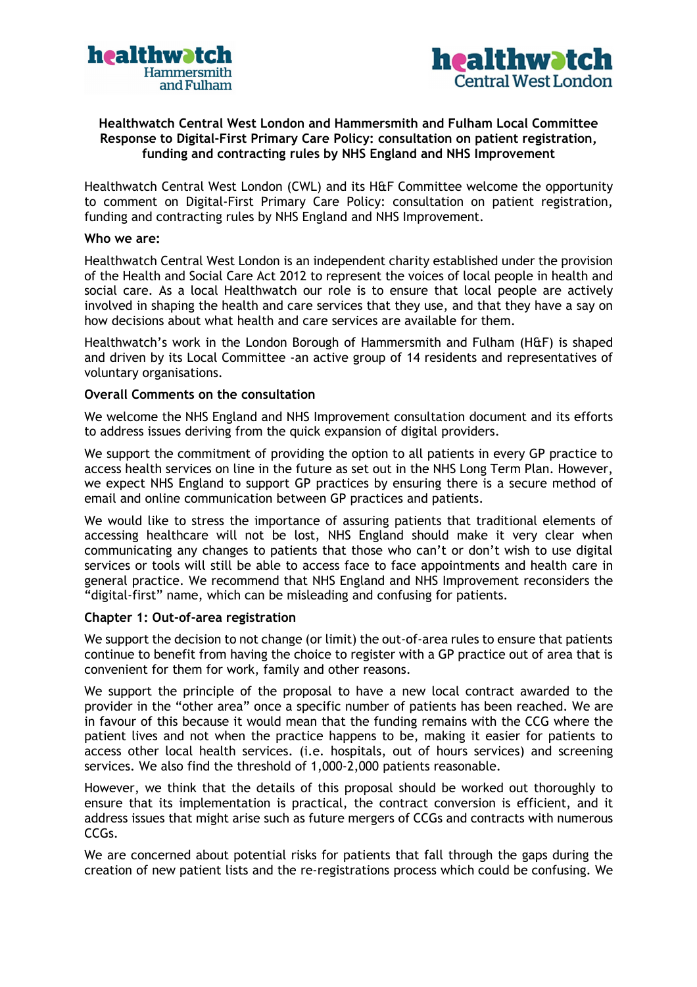



# Healthwatch Central West London and Hammersmith and Fulham Local Committee Response to Digital-First Primary Care Policy: consultation on patient registration, funding and contracting rules by NHS England and NHS Improvement

Healthwatch Central West London (CWL) and its H&F Committee welcome the opportunity to comment on Digital-First Primary Care Policy: consultation on patient registration, funding and contracting rules by NHS England and NHS Improvement.

#### Who we are:

Healthwatch Central West London is an independent charity established under the provision of the Health and Social Care Act 2012 to represent the voices of local people in health and social care. As a local Healthwatch our role is to ensure that local people are actively involved in shaping the health and care services that they use, and that they have a say on how decisions about what health and care services are available for them.

Healthwatch's work in the London Borough of Hammersmith and Fulham (H&F) is shaped and driven by its Local Committee -an active group of 14 residents and representatives of voluntary organisations.

### Overall Comments on the consultation

We welcome the NHS England and NHS Improvement consultation document and its efforts to address issues deriving from the quick expansion of digital providers.

We support the commitment of providing the option to all patients in every GP practice to access health services on line in the future as set out in the NHS Long Term Plan. However, we expect NHS England to support GP practices by ensuring there is a secure method of email and online communication between GP practices and patients.

We would like to stress the importance of assuring patients that traditional elements of accessing healthcare will not be lost, NHS England should make it very clear when communicating any changes to patients that those who can't or don't wish to use digital services or tools will still be able to access face to face appointments and health care in general practice. We recommend that NHS England and NHS Improvement reconsiders the "digital-first" name, which can be misleading and confusing for patients.

### Chapter 1: Out-of-area registration

We support the decision to not change (or limit) the out-of-area rules to ensure that patients continue to benefit from having the choice to register with a GP practice out of area that is convenient for them for work, family and other reasons.

We support the principle of the proposal to have a new local contract awarded to the provider in the "other area" once a specific number of patients has been reached. We are in favour of this because it would mean that the funding remains with the CCG where the patient lives and not when the practice happens to be, making it easier for patients to access other local health services. (i.e. hospitals, out of hours services) and screening services. We also find the threshold of 1,000-2,000 patients reasonable.

However, we think that the details of this proposal should be worked out thoroughly to ensure that its implementation is practical, the contract conversion is efficient, and it address issues that might arise such as future mergers of CCGs and contracts with numerous CCGs.

We are concerned about potential risks for patients that fall through the gaps during the creation of new patient lists and the re-registrations process which could be confusing. We